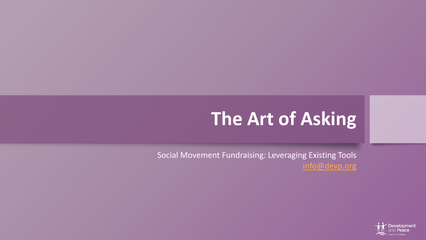# **The Art of Asking**

Social Movement Fundraising: Leveraging Existing Tools [info@devp.org](mailto:info@devp.org)

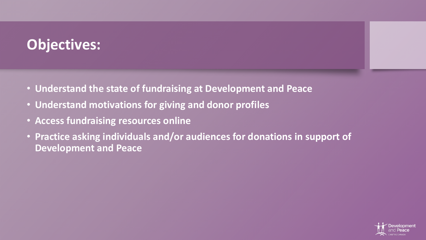### **Objectives:**

- **Understand the state of fundraising at Development and Peace**
- **Understand motivations for giving and donor profiles**
- **Access fundraising resources online**
- **Practice asking individuals and/or audiences for donations in support of Development and Peace**

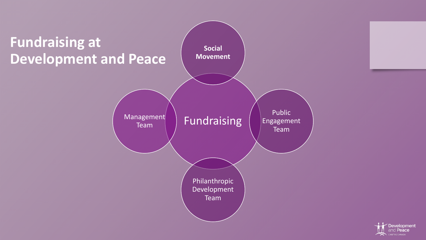

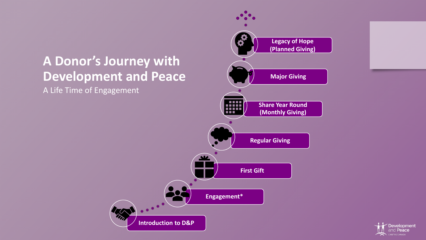### **A Donor's Journey with Development and Peace**

m

A Life Time of Engagement



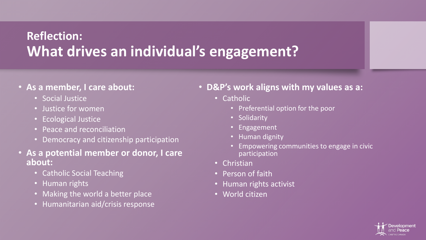### **Reflection: What drives an individual's engagement?**

#### • **As a member, I care about:**

- Social Justice
- Justice for women
- Ecological Justice
- Peace and reconciliation
- Democracy and citizenship participation
- **As a potential member or donor, I care about:**
	- Catholic Social Teaching
	- Human rights
	- Making the world a better place
	- Humanitarian aid/crisis response
- **D&P's work aligns with my values as a:**
	- Catholic
		- Preferential option for the poor
		- Solidarity
		- **Engagement**
		- Human dignity
		- Empowering communities to engage in civic participation
	- Christian
	- Person of faith
	- Human rights activist
	- World citizen

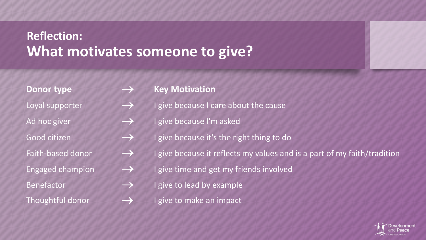### **Reflection: What motivates someone to give?**

#### Donor type  **Acker William Harton** Key Motivation

- Loyal supporter  $\longrightarrow$  I give because I care about the cause
- Ad hoc giver  $\rightarrow$  I give because I'm asked
- Good citizen  $\longrightarrow$  I give because it's the right thing to do
- Faith-based donor  $\longrightarrow$  I give because it reflects my values and is a part of my faith/tradition
- Engaged champion  $\longrightarrow$  I give time and get my friends involved
- Benefactor  $\rightarrow$  I give to lead by example
- Thoughtful donor  $\longrightarrow$  I give to make an impact

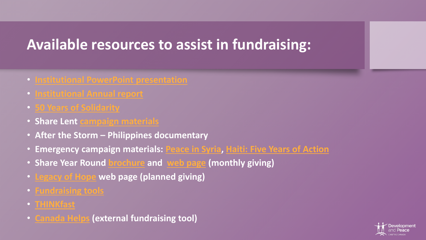### **Available resources to assist in fundraising:**

- **[Institutional PowerPoint presentation](https://www.devp.org/en/institutional_presentation)**
- **[Institutional Annual report](https://www.devp.org/en/resources/annual-reports)**
- **[50 Years of Solidarity](https://www.devp.org/sites/www.devp.org/files/documents/materials/50years-timeline-en.pdf)**
- **Share Lent [campaign materials](https://www.devp.org/en/sharelent2018/materials)**
- **After the Storm – Philippines documentary**
- **Emergency campaign materials: [Peace in Syria,](https://www.devp.org/en/emergencies/syria) [Haiti: Five Years of Action](https://www.devp.org/sites/www.devp.org/files/documents/materials/devpeace_haiti_5years_report.pdf)**
- **Share Year Round [brochure](https://www.devp.org/sites/www.devp.org/files/documents/materials/devpeace_shareyearround.pdf) and [web page](https://www.devp.org/en/donate/givemonthly) (monthly giving)**
- **[Legacy of Hope](https://www.devp.org/en/donate/pdon) web page (planned giving)**
- **[Fundraising tools](https://www.devp.org/en/sharelent2018/materials?field_material_type_public_value=fundraising)**
- **[THINKfast](https://www.devp.org/en/thinkfast)**
- **[Canada Helps](https://www.canadahelps.org/en/charities/devp/) (external fundraising tool)**

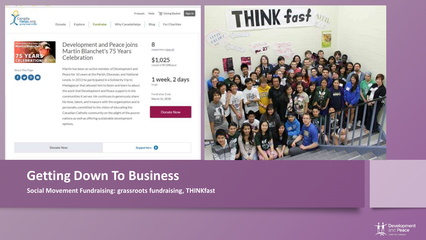

Blog

Why CanadaHelps



Donate

Donate Now

Explore

#### Development and Peace joins Martin Blanchet's 75 Years Celebration

Fundraise

Share This Page

0000

Martin has been an active member of Development and Peace for 10 years at the Parish, Diocesan, and National Levels. In 2013 he participated in a Solidarity trip to Madagascar that allowed him to listen and learn to about the work that Development and Peace supports in the communities it serves. He continues to generously share his time, talent, and treasure with the organization and is personally committed to the vision of educating the Canadian Catholic community on the plight of the poorer nations as well as offering sustainable development options.



\$1,025 raised of \$7,500 goal

1 week, 2 days to so

For Charities

**Sign In** 

Fundraiser Ends March 15, 2018

Supporters<sup>O</sup>

**Donate Now** 



**Getting Down To Business**

**Social Movement Fundraising: grassroots fundraising, THINKfast**

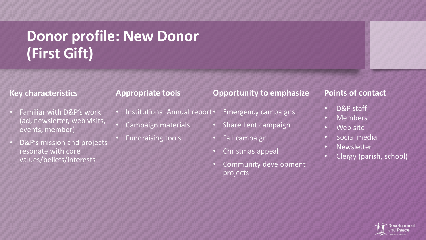## **Donor profile: New Donor (First Gift)**

#### **Key characteristics**

- Familiar with D&P's work (ad, newsletter, web visits, events, member)
- D&P's mission and projects resonate with core values/beliefs/interests

#### **Appropriate tools**

- Institutional Annual report •
- Campaign materials
- Fundraising tools

#### **Opportunity to emphasize**

- Emergency campaigns
	- Share Lent campaign
	- Fall campaign
	- Christmas appeal
	- Community development projects

#### **Points of contact**

- D&P staff
- Members
- Web site
- Social media
- Newsletter
- Clergy (parish, school)

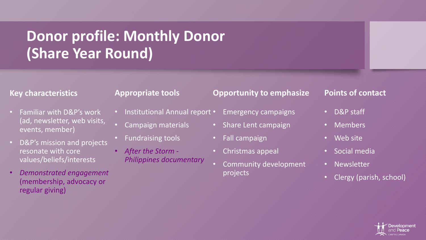## **Donor profile: Monthly Donor (Share Year Round)**

#### **Key characteristics**

- Familiar with D&P's work (ad, newsletter, web visits, events, member)
- D&P's mission and projects resonate with core values/beliefs/interests
- *Demonstrated engagement*  (membership, advocacy or regular giving)

#### **Appropriate tools**

- Institutional Annual report •
- Campaign materials
- Fundraising tools
- *After the Storm - Philippines documentary*

#### **Opportunity to emphasize**

- Emergency campaigns
- Share Lent campaign
- Fall campaign
- Christmas appeal
- Community development projects

#### **Points of contact**

- D&P staff
- Members
- Web site
- Social media
- Newsletter
- Clergy (parish, school)

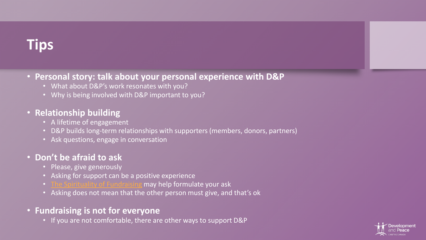### **Tips**

#### • **Personal story: talk about your personal experience with D&P**

- What about D&P's work resonates with you?
- Why is being involved with D&P important to you?

#### • **Relationship building**

- A lifetime of engagement
- D&P builds long-term relationships with supporters (members, donors, partners)
- Ask questions, engage in conversation

#### • **Don't be afraid to ask**

- Please, give generously
- Asking for support can be a positive experience
- [The Spirituality of Fundraising](https://www.gcx.org/LynnFamily/files/2013/07/Spirituality-Of-Fundraising.pdf) may help formulate your ask
- Asking does not mean that the other person must give, and that's ok
- **Fundraising is not for everyone**
	- If you are not comfortable, there are other ways to support D&P

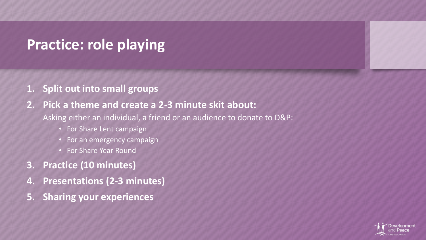### **Practice: role playing**

### **1. Split out into small groups**

#### **2. Pick a theme and create a 2-3 minute skit about:**

Asking either an individual, a friend or an audience to donate to D&P:

- For Share Lent campaign
- For an emergency campaign
- For Share Year Round
- **3. Practice (10 minutes)**
- **4. Presentations (2-3 minutes)**
- **5. Sharing your experiences**

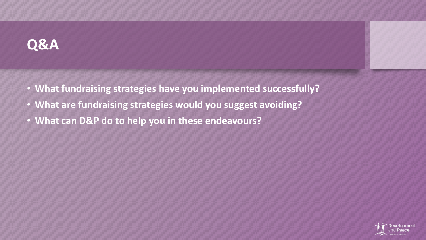### **Q&A**

- **What fundraising strategies have you implemented successfully?**
- **What are fundraising strategies would you suggest avoiding?**
- **What can D&P do to help you in these endeavours?**